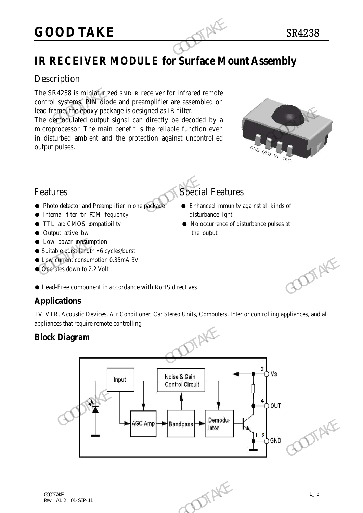# **GOOD TAKE** SR4238

# Description

The SR4238 is miniaturized SMD-IR receiver for infrared remote control systems. PIN diode and preamplifier are assembled on lead frame, the epoxy package is designed as IR filter.

The demodulated output signal can directly be decoded by a microprocessor. The main benefit is the reliable function even in disturbed ambient and the protection against uncontrolled output pulses. **GOOD TAKE**<br> **IR RECEIVER MODULE for Surface Mo**<br>
Description<br>
The SR4238 is miniaurized SMD-IR receiver for infrared remote<br>
control systems. PIN diode and preamplifier are assembled on<br>
lead frame (the epoxy package is Lead frame, the epoxy package is designed as IR filter.<br>
The dismodulated output signal can directly be decoded by a<br>
microprocessor. The main benefit is the reliable function even<br>
in disturbed ambient and the protection



# Features Special Features

- Photo detector and Preamplifier in one package Enhanced immunity against all kinds of
- Internal filter for PCM frequency disturbance lght
- 
- Output active bw the output
- **Low power consumption**
- Suitable burst length 6 cycles/burst
- Low current consumption 0.35mA 3V
- Operates down to 2.2 Volt

- 
- TTL and CMOS compatibility No occurrence of disturbance pulses at
	-

● Lead-Free component in accordance with RoHS directives

# **Applications**

TV, VTR, Acoustic Devices, Air Conditioner, Car Stereo Units, Computers, Interior controlling appliances, and all appliances that require remote controlling

# **Block Diagram**

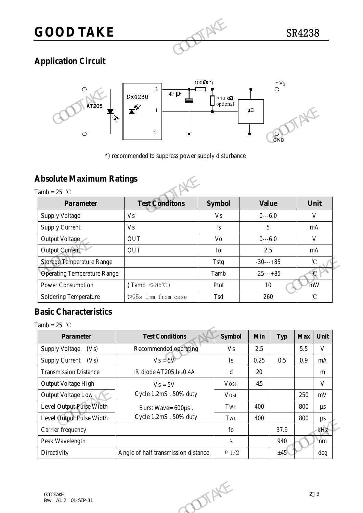

# **Application Circuit**



# **Absolute Maximum Ratings**

| ALZUV                                             | 2                                                   |                | $\mu\text{C}$<br>GND |                   |
|---------------------------------------------------|-----------------------------------------------------|----------------|----------------------|-------------------|
| <b>Absolute Maximum Ratings</b><br>Tamb = $25$ °C | *) recommended to suppress power supply disturbance |                |                      |                   |
| <b>Parameter</b>                                  | <b>Test Conditons</b>                               | <b>Symbol</b>  | <b>Value</b>         | Unit              |
| <b>Supply Voltage</b>                             | V <sub>s</sub>                                      | <b>Vs</b>      | $0--6.0$             | V                 |
| <b>Supply Current</b>                             | V <sub>S</sub>                                      | Is             | 5                    | mA                |
| Output Voltage                                    | <b>OUT</b>                                          | V <sub>o</sub> | $0--6.0$             | V                 |
| Output Current                                    | <b>OUT</b>                                          | I <sub>o</sub> | 2.5                  | mA                |
| <b>Storage Temperature Range</b>                  |                                                     | Tstg           | $-30---+85$          | $^\circ\!{\rm C}$ |
| <b>Operating Temperature Range</b>                |                                                     | Tamb           | $-25$ ---+85         | $\mathcal{C}$     |
| Power Consumption                                 | $(Tamb \leq 85^{\circ}C)$                           | Ptot           | 10                   | mW                |
| Soldering Temperature                             | t $\leqslant$ 5s 1mm from case                      | Tsd            | 260                  | $^{\circ}$ C      |

# **Basic Characteristics**

Tamb =  $25$  °C

| <b>Storage Temperature Range</b>   |                                     | <b>Tstg</b><br>$-30---+85$ |      |            | $^\circ\!{\rm C}$ |                   |  |
|------------------------------------|-------------------------------------|----------------------------|------|------------|-------------------|-------------------|--|
| <b>Operating Temperature Range</b> |                                     | $-25---+85$<br>Tamb        |      |            | C                 |                   |  |
| Power Consumption                  | $(Tamb \leq 85^{\circ}C)$           | Ptot                       |      | mW<br>10   |                   |                   |  |
| Soldering Temperature              | t $\leqslant$ 5s 1mm from case      | Tsd                        |      | 260        |                   | $^\circ\!{\rm C}$ |  |
| <b>Basic Characteristics</b>       |                                     |                            |      |            |                   |                   |  |
| Tamb = $25$ °C                     |                                     |                            |      |            |                   |                   |  |
| Parameter                          | <b>Test Conditions</b>              | <b>Symbol</b>              | Min  | <b>Typ</b> | <b>Max</b>        | Unit              |  |
| Supply Voltage<br>(Vs)             | Recommended operating               | V <sub>S</sub>             | 2.5  |            | 5.5               | $\mathbf{V}$      |  |
| <b>Supply Current</b><br>(Vs)      | $V_s = 5V$                          | Is                         | 0.25 | 0.5        | 0.9               | mA                |  |
| <b>Transmission Distance</b>       | IR diode AT205, IF=0.4A             | $\mathbf d$                | 20   |            |                   | m                 |  |
| Output Voltage High                | $V_s = 5V$                          | <b>VOSH</b>                | 4.5  |            |                   | $\mathbf V$       |  |
| Output Voltage Low                 | Cycle 1.2mS, 50% duty               | <b>VOSL</b>                |      |            | 250               | mV                |  |
| Level Output Pulse Width           | Burst Wave= 600µs,                  | TwH                        | 400  |            | 800               | $\mu s$           |  |
| Level Output Pulse Width           | Cycle 1.2mS, 50% duty               | TwL                        | 400  |            | 800               | $\mu\mathrm{s}$   |  |
| Carrier frequency                  |                                     | fo                         |      | 37.9       |                   | kHz               |  |
| Peak Wavelength                    |                                     | $\lambda$                  |      | 940        |                   | nm                |  |
| Directivity                        | Angle of half transmission distance | $\theta$ 1/2               |      | ±45%       |                   | deg               |  |